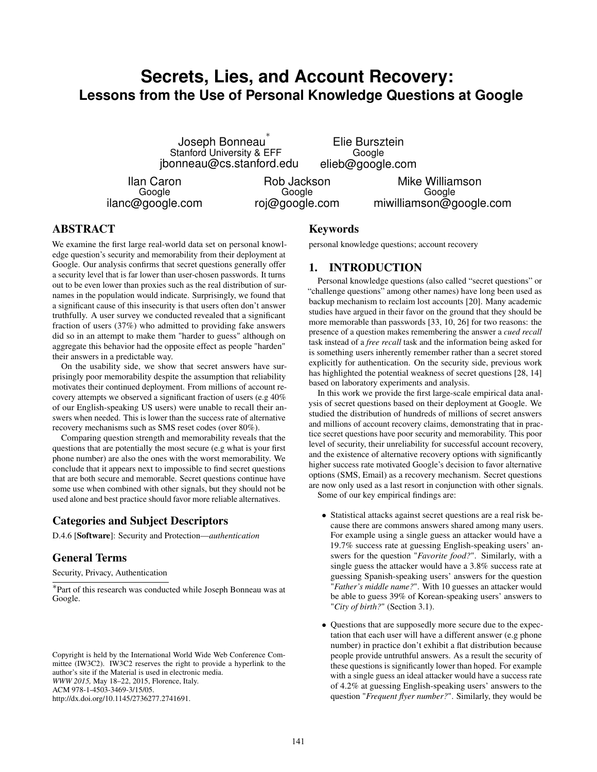# **Secrets, Lies, and Account Recovery: Lessons from the Use of Personal Knowledge Questions at Google**

Joseph Bonneau ∗ Stanford University & EFF jbonneau@cs.stanford.edu

Ilan Caron Google ilanc@google.com

Rob Jackson Google roj@google.com

Mike Williamson Google miwilliamson@google.com

## ABSTRACT

We examine the first large real-world data set on personal knowledge question's security and memorability from their deployment at Google. Our analysis confirms that secret questions generally offer a security level that is far lower than user-chosen passwords. It turns out to be even lower than proxies such as the real distribution of surnames in the population would indicate. Surprisingly, we found that a significant cause of this insecurity is that users often don't answer truthfully. A user survey we conducted revealed that a significant fraction of users (37%) who admitted to providing fake answers did so in an attempt to make them "harder to guess" although on aggregate this behavior had the opposite effect as people "harden" their answers in a predictable way.

On the usability side, we show that secret answers have surprisingly poor memorability despite the assumption that reliability motivates their continued deployment. From millions of account recovery attempts we observed a significant fraction of users (e.g 40% of our English-speaking US users) were unable to recall their answers when needed. This is lower than the success rate of alternative recovery mechanisms such as SMS reset codes (over 80%).

Comparing question strength and memorability reveals that the questions that are potentially the most secure (e.g what is your first phone number) are also the ones with the worst memorability. We conclude that it appears next to impossible to find secret questions that are both secure and memorable. Secret questions continue have some use when combined with other signals, but they should not be used alone and best practice should favor more reliable alternatives.

# Categories and Subject Descriptors

D.4.6 [Software]: Security and Protection—*authentication*

## General Terms

Security, Privacy, Authentication

∗ Part of this research was conducted while Joseph Bonneau was at Google.

Copyright is held by the International World Wide Web Conference Committee (IW3C2). IW3C2 reserves the right to provide a hyperlink to the author's site if the Material is used in electronic media. *WWW 2015,* May 18–22, 2015, Florence, Italy. ACM 978-1-4503-3469-3/15/05. http://dx.doi.org/10.1145/2736277.2741691.

# Keywords

personal knowledge questions; account recovery

# 1. INTRODUCTION

Elie Bursztein Google elieb@google.com

Personal knowledge questions (also called "secret questions" or "challenge questions" among other names) have long been used as backup mechanism to reclaim lost accounts [\[20\]](#page-9-0). Many academic studies have argued in their favor on the ground that they should be more memorable than passwords [\[33,](#page-9-1) [10,](#page-9-2) [26\]](#page-9-3) for two reasons: the presence of a question makes remembering the answer a *cued recall* task instead of a *free recall* task and the information being asked for is something users inherently remember rather than a secret stored explicitly for authentication. On the security side, previous work has highlighted the potential weakness of secret questions [\[28,](#page-9-4) [14\]](#page-9-5) based on laboratory experiments and analysis.

In this work we provide the first large-scale empirical data analysis of secret questions based on their deployment at Google. We studied the distribution of hundreds of millions of secret answers and millions of account recovery claims, demonstrating that in practice secret questions have poor security and memorability. This poor level of security, their unreliability for successful account recovery, and the existence of alternative recovery options with significantly higher success rate motivated Google's decision to favor alternative options (SMS, Email) as a recovery mechanism. Secret questions are now only used as a last resort in conjunction with other signals.

Some of our key empirical findings are:

- Statistical attacks against secret questions are a real risk because there are commons answers shared among many users. For example using a single guess an attacker would have a 19.7% success rate at guessing English-speaking users' answers for the question "*Favorite food?*". Similarly, with a single guess the attacker would have a 3.8% success rate at guessing Spanish-speaking users' answers for the question "*Father's middle name?*". With 10 guesses an attacker would be able to guess 39% of Korean-speaking users' answers to "*City of birth?*" (Section [3.1\)](#page-2-0).
- Questions that are supposedly more secure due to the expectation that each user will have a different answer (e.g phone number) in practice don't exhibit a flat distribution because people provide untruthful answers. As a result the security of these questions is significantly lower than hoped. For example with a single guess an ideal attacker would have a success rate of 4.2% at guessing English-speaking users' answers to the question "*Frequent flyer number?*". Similarly, they would be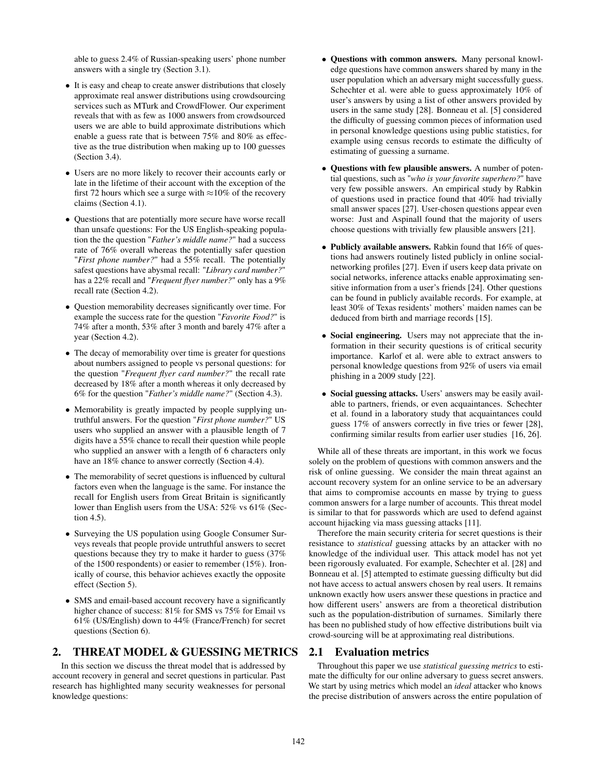able to guess 2.4% of Russian-speaking users' phone number answers with a single try (Section [3.1\)](#page-2-0).

- It is easy and cheap to create answer distributions that closely approximate real answer distributions using crowdsourcing services such as MTurk and CrowdFlower. Our experiment reveals that with as few as 1000 answers from crowdsourced users we are able to build approximate distributions which enable a guess rate that is between 75% and 80% as effective as the true distribution when making up to 100 guesses (Section [3.4\)](#page-4-0).
- Users are no more likely to recover their accounts early or late in the lifetime of their account with the exception of the first 72 hours which see a surge with  $\approx$ 10% of the recovery claims (Section [4.1\)](#page-5-0).
- Questions that are potentially more secure have worse recall than unsafe questions: For the US English-speaking population the the question "*Father's middle name?*" had a success rate of 76% overall whereas the potentially safer question "*First phone number?*" had a 55% recall. The potentially safest questions have abysmal recall: "*Library card number?*" has a 22% recall and "*Frequent flyer number?*" only has a 9% recall rate (Section [4.2\)](#page-5-1).
- Question memorability decreases significantly over time. For example the success rate for the question "*Favorite Food?*" is 74% after a month, 53% after 3 month and barely 47% after a year (Section [4.2\)](#page-5-1).
- The decay of memorability over time is greater for questions about numbers assigned to people vs personal questions: for the question "*Frequent flyer card number?*" the recall rate decreased by 18% after a month whereas it only decreased by 6% for the question "*Father's middle name?*" (Section [4.3\)](#page-6-0).
- Memorability is greatly impacted by people supplying untruthful answers. For the question "*First phone number?*" US users who supplied an answer with a plausible length of 7 digits have a 55% chance to recall their question while people who supplied an answer with a length of 6 characters only have an  $18\%$  chance to answer correctly (Section [4.4\)](#page-6-1).
- The memorability of secret questions is influenced by cultural factors even when the language is the same. For instance the recall for English users from Great Britain is significantly lower than English users from the USA: 52% vs 61% (Section [4.5\)](#page-7-0).
- Surveying the US population using Google Consumer Surveys reveals that people provide untruthful answers to secret questions because they try to make it harder to guess (37% of the 1500 respondents) or easier to remember (15%). Ironically of course, this behavior achieves exactly the opposite effect (Section [5\)](#page-7-1).
- SMS and email-based account recovery have a significantly higher chance of success: 81% for SMS vs 75% for Email vs 61% (US/English) down to 44% (France/French) for secret questions (Section [6\)](#page-8-0).

## <span id="page-1-1"></span>2. THREAT MODEL & GUESSING METRICS

In this section we discuss the threat model that is addressed by account recovery in general and secret questions in particular. Past research has highlighted many security weaknesses for personal knowledge questions:

- Questions with common answers. Many personal knowledge questions have common answers shared by many in the user population which an adversary might successfully guess. Schechter et al. were able to guess approximately 10% of user's answers by using a list of other answers provided by users in the same study [\[28\]](#page-9-4). Bonneau et al. [\[5\]](#page-9-6) considered the difficulty of guessing common pieces of information used in personal knowledge questions using public statistics, for example using census records to estimate the difficulty of estimating of guessing a surname.
- Questions with few plausible answers. A number of potential questions, such as "*who is your favorite superhero?*" have very few possible answers. An empirical study by Rabkin of questions used in practice found that 40% had trivially small answer spaces [\[27\]](#page-9-7). User-chosen questions appear even worse: Just and Aspinall found that the majority of users choose questions with trivially few plausible answers [\[21\]](#page-9-8).
- Publicly available answers. Rabkin found that 16% of questions had answers routinely listed publicly in online socialnetworking profiles [\[27\]](#page-9-7). Even if users keep data private on social networks, inference attacks enable approximating sensitive information from a user's friends [\[24\]](#page-9-9). Other questions can be found in publicly available records. For example, at least 30% of Texas residents' mothers' maiden names can be deduced from birth and marriage records [\[15\]](#page-9-10).
- Social engineering. Users may not appreciate that the information in their security questions is of critical security importance. Karlof et al. were able to extract answers to personal knowledge questions from 92% of users via email phishing in a 2009 study [\[22\]](#page-9-11).
- Social guessing attacks. Users' answers may be easily available to partners, friends, or even acquaintances. Schechter et al. found in a laboratory study that acquaintances could guess 17% of answers correctly in five tries or fewer [\[28\]](#page-9-4), confirming similar results from earlier user studies [\[16,](#page-9-12) [26\]](#page-9-3).

While all of these threats are important, in this work we focus solely on the problem of questions with common answers and the risk of online guessing. We consider the main threat against an account recovery system for an online service to be an adversary that aims to compromise accounts en masse by trying to guess common answers for a large number of accounts. This threat model is similar to that for passwords which are used to defend against account hijacking via mass guessing attacks [\[11\]](#page-9-13).

Therefore the main security criteria for secret questions is their resistance to *statistical* guessing attacks by an attacker with no knowledge of the individual user. This attack model has not yet been rigorously evaluated. For example, Schechter et al. [\[28\]](#page-9-4) and Bonneau et al. [\[5\]](#page-9-6) attempted to estimate guessing difficulty but did not have access to actual answers chosen by real users. It remains unknown exactly how users answer these questions in practice and how different users' answers are from a theoretical distribution such as the population-distribution of surnames. Similarly there has been no published study of how effective distributions built via crowd-sourcing will be at approximating real distributions.

## <span id="page-1-0"></span>2.1 Evaluation metrics

Throughout this paper we use *statistical guessing metrics* to estimate the difficulty for our online adversary to guess secret answers. We start by using metrics which model an *ideal* attacker who knows the precise distribution of answers across the entire population of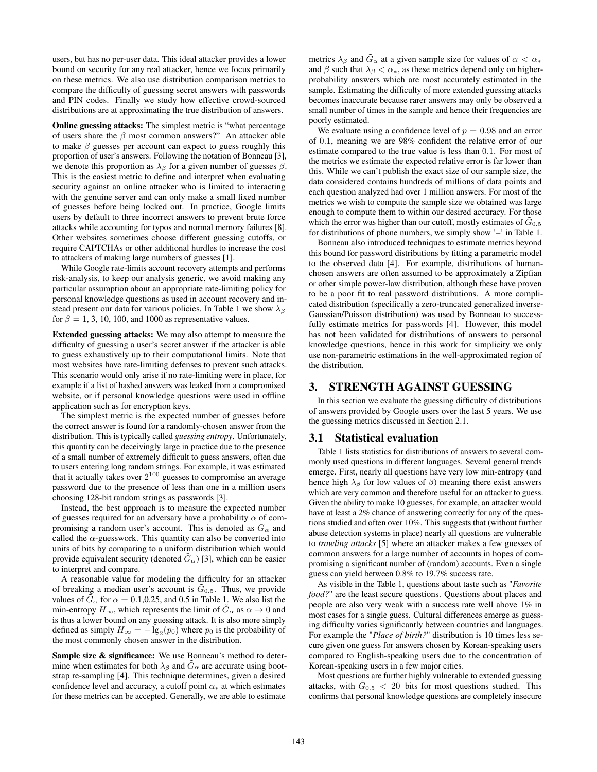users, but has no per-user data. This ideal attacker provides a lower bound on security for any real attacker, hence we focus primarily on these metrics. We also use distribution comparison metrics to compare the difficulty of guessing secret answers with passwords and PIN codes. Finally we study how effective crowd-sourced distributions are at approximating the true distribution of answers.

Online guessing attacks: The simplest metric is "what percentage of users share the  $\beta$  most common answers?" An attacker able to make  $\beta$  guesses per account can expect to guess roughly this proportion of user's answers. Following the notation of Bonneau [\[3\]](#page-9-14), we denote this proportion as  $\lambda_{\beta}$  for a given number of guesses  $\beta$ . This is the easiest metric to define and interpret when evaluating security against an online attacker who is limited to interacting with the genuine server and can only make a small fixed number of guesses before being locked out. In practice, Google limits users by default to three incorrect answers to prevent brute force attacks while accounting for typos and normal memory failures [\[8\]](#page-9-15). Other websites sometimes choose different guessing cutoffs, or require CAPTCHAs or other additional hurdles to increase the cost to attackers of making large numbers of guesses [\[1\]](#page-9-16).

While Google rate-limits account recovery attempts and performs risk-analysis, to keep our analysis generic, we avoid making any particular assumption about an appropriate rate-limiting policy for personal knowledge questions as used in account recovery and in-stead present our data for various policies. In Table [1](#page-3-0) we show  $\lambda_{\beta}$ for  $\beta = 1, 3, 10, 100,$  and 1000 as representative values.

Extended guessing attacks: We may also attempt to measure the difficulty of guessing a user's secret answer if the attacker is able to guess exhaustively up to their computational limits. Note that most websites have rate-limiting defenses to prevent such attacks. This scenario would only arise if no rate-limiting were in place, for example if a list of hashed answers was leaked from a compromised website, or if personal knowledge questions were used in offline application such as for encryption keys.

The simplest metric is the expected number of guesses before the correct answer is found for a randomly-chosen answer from the distribution. This is typically called *guessing entropy*. Unfortunately, this quantity can be deceivingly large in practice due to the presence of a small number of extremely difficult to guess answers, often due to users entering long random strings. For example, it was estimated that it actually takes over  $2^{100}$  guesses to compromise an average password due to the presence of less than one in a million users choosing 128-bit random strings as passwords [\[3\]](#page-9-14).

Instead, the best approach is to measure the expected number of guesses required for an adversary have a probability  $\alpha$  of compromising a random user's account. This is denoted as  $G_{\alpha}$  and called the  $\alpha$ -guesswork. This quantity can also be converted into units of bits by comparing to a uniform distribution which would provide equivalent security (denoted  $\tilde{G}_{\alpha}$ ) [\[3\]](#page-9-14), which can be easier to interpret and compare.

A reasonable value for modeling the difficulty for an attacker of breaking a median user's account is  $\tilde{G}_{0.5}$ . Thus, we provide values of  $G_\alpha$  for  $\alpha = 0.1, 0.25$ , and 0.5 in Table [1.](#page-3-0) We also list the min-entropy  $H_{\infty}$ , which represents the limit of  $\tilde{G}_{\alpha}$  as  $\alpha \to 0$  and is thus a lower bound on any guessing attack. It is also more simply defined as simply  $H_{\infty} = -\lg_2(p_0)$  where  $p_0$  is the probability of the most commonly chosen answer in the distribution.

Sample size & significance: We use Bonneau's method to determine when estimates for both  $\lambda_\beta$  and  $G_\alpha$  are accurate using bootstrap re-sampling [\[4\]](#page-9-17). This technique determines, given a desired confidence level and accuracy, a cutoff point  $\alpha_*$  at which estimates for these metrics can be accepted. Generally, we are able to estimate

metrics  $\lambda_{\beta}$  and  $\tilde{G}_{\alpha}$  at a given sample size for values of  $\alpha < \alpha_*$ and  $\beta$  such that  $\lambda_{\beta} < \alpha_{*}$ , as these metrics depend only on higherprobability answers which are most accurately estimated in the sample. Estimating the difficulty of more extended guessing attacks becomes inaccurate because rarer answers may only be observed a small number of times in the sample and hence their frequencies are poorly estimated.

We evaluate using a confidence level of  $p = 0.98$  and an error of 0.1, meaning we are 98% confident the relative error of our estimate compared to the true value is less than 0.1. For most of the metrics we estimate the expected relative error is far lower than this. While we can't publish the exact size of our sample size, the data considered contains hundreds of millions of data points and each question analyzed had over 1 million answers. For most of the metrics we wish to compute the sample size we obtained was large enough to compute them to within our desired accuracy. For those which the error was higher than our cutoff, mostly estimates of  $G_{0.5}$ for distributions of phone numbers, we simply show '–' in Table [1.](#page-3-0)

Bonneau also introduced techniques to estimate metrics beyond this bound for password distributions by fitting a parametric model to the observed data [\[4\]](#page-9-17). For example, distributions of humanchosen answers are often assumed to be approximately a Zipfian or other simple power-law distribution, although these have proven to be a poor fit to real password distributions. A more complicated distribution (specifically a zero-truncated generalized inverse-Gaussian/Poisson distribution) was used by Bonneau to successfully estimate metrics for passwords [\[4\]](#page-9-17). However, this model has not been validated for distributions of answers to personal knowledge questions, hence in this work for simplicity we only use non-parametric estimations in the well-approximated region of the distribution.

## <span id="page-2-1"></span>3. STRENGTH AGAINST GUESSING

In this section we evaluate the guessing difficulty of distributions of answers provided by Google users over the last 5 years. We use the guessing metrics discussed in Section [2.1.](#page-1-0)

#### <span id="page-2-0"></span>3.1 Statistical evaluation

Table [1](#page-3-0) lists statistics for distributions of answers to several commonly used questions in different languages. Several general trends emerge. First, nearly all questions have very low min-entropy (and hence high  $\lambda_{\beta}$  for low values of  $\beta$ ) meaning there exist answers which are very common and therefore useful for an attacker to guess. Given the ability to make 10 guesses, for example, an attacker would have at least a 2% chance of answering correctly for any of the questions studied and often over 10%. This suggests that (without further abuse detection systems in place) nearly all questions are vulnerable to *trawling attacks* [\[5\]](#page-9-6) where an attacker makes a few guesses of common answers for a large number of accounts in hopes of compromising a significant number of (random) accounts. Even a single guess can yield between 0.8% to 19.7% success rate.

As visible in the Table [1,](#page-3-0) questions about taste such as "*Favorite food?*" are the least secure questions. Questions about places and people are also very weak with a success rate well above 1% in most cases for a single guess. Cultural differences emerge as guessing difficulty varies significantly between countries and languages. For example the "*Place of birth?*" distribution is 10 times less secure given one guess for answers chosen by Korean-speaking users compared to English-speaking users due to the concentration of Korean-speaking users in a few major cities.

Most questions are further highly vulnerable to extended guessing attacks, with  $\tilde{G}_{0.5}$  < 20 bits for most questions studied. This confirms that personal knowledge questions are completely insecure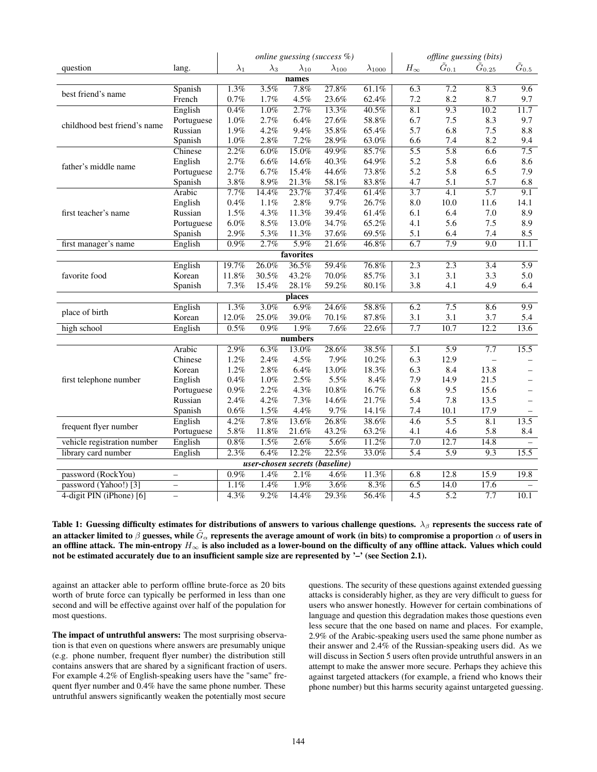|                                |                          | <i>online guessing (success <math>%</math>)</i> |             |                |                 | offline guessing (bits) |                  |                   |                  |                   |
|--------------------------------|--------------------------|-------------------------------------------------|-------------|----------------|-----------------|-------------------------|------------------|-------------------|------------------|-------------------|
| question                       | lang.                    | $\lambda_1$                                     | $\lambda_3$ | $\lambda_{10}$ | $\lambda_{100}$ | $\lambda_{1000}$        | $H_{\infty}$     | $\tilde{G}_{0.1}$ | $G_{0.25}$       | $\tilde{G}_{0.5}$ |
| names                          |                          |                                                 |             |                |                 |                         |                  |                   |                  |                   |
| best friend's name             | Spanish                  | 1.3%                                            | 3.5%        | 7.8%           | 27.8%           | 61.1%                   | 6.3              | 7.2               | 8.3              | 9.6               |
|                                | French                   | 0.7%                                            | 1.7%        | 4.5%           | 23.6%           | 62.4%                   | $7.2\,$          | 8.2               | 8.7              | 9.7               |
|                                | English                  | 0.4%                                            | 1.0%        | 2.7%           | 13.3%           | 40.5%                   | 8.1              | 9.3               | 10.2             | 11.7              |
| childhood best friend's name   | Portuguese               | $1.0\%$                                         | 2.7%        | 6.4%           | 27.6%           | 58.8%                   | 6.7              | 7.5               | 8.3              | 9.7               |
|                                | Russian                  | $1.9\%$                                         | 4.2%        | 9.4%           | 35.8%           | 65.4%                   | 5.7              | 6.8               | 7.5              | $8.8\,$           |
|                                | Spanish                  | $1.0\%$                                         | $2.8\%$     | 7.2%           | 28.9%           | 63.0%                   | 6.6              | $7.4\,$           | 8.2              | 9.4               |
| father's middle name           | Chinese                  | 2.2%                                            | 6.0%        | 15.0%          | 49.9%           | 85.7%                   | 5.5              | 5.8               | 6.6              | 7.5               |
|                                | English                  | 2.7%                                            | $6.6\%$     | 14.6%          | 40.3%           | 64.9%                   | 5.2              | 5.8               | 6.6              | 8.6               |
|                                | Portuguese               | 2.7%                                            | 6.7%        | 15.4%          | 44.6%           | 73.8%                   | 5.2              | 5.8               | 6.5              | 7.9               |
|                                | Spanish                  | 3.8%                                            | $8.9\%$     | 21.3%          | 58.1%           | 83.8%                   | 4.7              | 5.1               | 5.7              | 6.8               |
|                                | Arabic                   | 7.7%                                            | 14.4%       | 23.7%          | 37.4%           | 61.4%                   | 3.7              | 4.1               | 5.7              | 9.1               |
|                                | English                  | 0.4%                                            | 1.1%        | 2.8%           | 9.7%            | 26.7%                   | 8.0              | 10.0              | 11.6             | 14.1              |
| first teacher's name           | Russian                  | 1.5%                                            | 4.3%        | 11.3%          | 39.4%           | 61.4%                   | 6.1              | 6.4               | 7.0              | 8.9               |
|                                | Portuguese               | $6.0\%$                                         | $8.5\%$     | 13.0%          | 34.7%           | 65.2%                   | 4.1              | 5.6               | 7.5              | 8.9               |
|                                | Spanish                  | 2.9%                                            | 5.3%        | 11.3%          | 37.6%           | 69.5%                   | 5.1              | 6.4               | 7.4              | 8.5               |
| first manager's name           | English                  | $0.9\%$                                         | 2.7%        | 5.9%           | 21.6%           | 46.8%                   | 6.7              | 7.9               | 9.0              | 11.1              |
|                                |                          |                                                 |             | favorites      |                 |                         |                  |                   |                  |                   |
|                                | English                  | 19.7%                                           | 26.0%       | 36.5%          | 59.4%           | 76.8%                   | $\overline{2.3}$ | 2.3               | $\overline{3.4}$ | $\overline{5.9}$  |
| favorite food                  | Korean                   | 11.8%                                           | $30.5\%$    | 43.2%          | 70.0%           | 85.7%                   | 3.1              | 3.1               | 3.3              | 5.0               |
|                                | Spanish                  | 7.3%                                            | 15.4%       | 28.1%          | 59.2%           | $80.1\%$                | 3.8              | 4.1               | 4.9              | 6.4               |
| places                         |                          |                                                 |             |                |                 |                         |                  |                   |                  |                   |
| place of birth                 | English                  | 1.3%                                            | 3.0%        | 6.9%           | 24.6%           | 58.8%                   | 6.2              | 7.5               | 8.6              | $\overline{9.9}$  |
|                                | Korean                   | 12.0%                                           | 25.0%       | 39.0%          | 70.1%           | 87.8%                   | 3.1              | 3.1               | 3.7              | 5.4               |
| high school                    | English                  | 0.5%                                            | $0.9\%$     | 1.9%           | 7.6%            | 22.6%                   | 7.7              | 10.7              | 12.2             | 13.6              |
| numbers                        |                          |                                                 |             |                |                 |                         |                  |                   |                  |                   |
| first telephone number         | Arabic                   | 2.9%                                            | 6.3%        | 13.0%          | 28.6%           | 38.5%                   | 5.1              | $\overline{5.9}$  | 7.7              | 15.5              |
|                                | Chinese                  | $1.2\%$                                         | 2.4%        | 4.5%           | 7.9%            | $10.2\%$                | 6.3              | 12.9              |                  |                   |
|                                | Korean                   | 1.2%                                            | $2.8\%$     | 6.4%           | 13.0%           | 18.3%                   | 6.3              | 8.4               | 13.8             |                   |
|                                | English                  | 0.4%                                            | 1.0%        | 2.5%           | 5.5%            | 8.4%                    | 7.9              | 14.9              | 21.5             |                   |
|                                | Portuguese               | $0.9\%$                                         | 2.2%        | 4.3%           | 10.8%           | 16.7%                   | 6.8              | 9.5               | 15.6             | $\equiv$          |
|                                | Russian                  | 2.4%                                            | 4.2%        | 7.3%           | 14.6%           | 21.7%                   | 5.4              | 7.8               | 13.5             | $\qquad \qquad -$ |
|                                | Spanish                  | $0.6\%$                                         | $1.5\%$     | 4.4%           | 9.7%            | 14.1%                   | 7.4              | 10.1              | 17.9             |                   |
| frequent flyer number          | English                  | 4.2%                                            | 7.8%        | 13.6%          | 26.8%           | 38.6%                   | $\overline{4.6}$ | $\overline{5.5}$  | 8.1              | 13.5              |
|                                | Portuguese               | 5.8%                                            | $11.8\%$    | 21.6%          | 43.2%           | 63.2%                   | 4.1              | 4.6               | 5.8              | 8.4               |
| vehicle registration number    | English                  | 0.8%                                            | 1.5%        | 2.6%           | 5.6%            | 11.2%                   | 7.0              | 12.7              | 14.8             |                   |
| library card number            | English                  | 2.3%                                            | 6.4%        | 12.2%          | 22.5%           | 33.0%                   | 5.4              | $\overline{5.9}$  | 9.3              | 15.5              |
| user-chosen secrets (baseline) |                          |                                                 |             |                |                 |                         |                  |                   |                  |                   |
| password (RockYou)             | $\overline{\phantom{0}}$ | 0.9%                                            | 1.4%        | 2.1%           | 4.6%            | 11.3%                   | 6.8              | 12.8              | 15.9             | 19.8              |
| password (Yahoo!) [3]          | $\qquad \qquad -$        | 1.1%                                            | 1.4%        | 1.9%           | 3.6%            | 8.3%                    | 6.5              | 14.0              | 17.6             |                   |
| 4-digit PIN (iPhone) [6]       | $\overline{\phantom{0}}$ | 4.3%                                            | 9.2%        | 14.4%          | 29.3%           | 56.4%                   | 4.5              | $\overline{5.2}$  | 7.7              | 10.1              |

<span id="page-3-0"></span>Table 1: Guessing difficulty estimates for distributions of answers to various challenge questions.  $\lambda_\beta$  represents the success rate of an attacker limited to  $\beta$  guesses, while  $\tilde{G}_{\alpha}$  represents the average amount of work (in bits) to compromise a proportion  $\alpha$  of users in an offline attack. The min-entropy  $H_{\infty}$  is also included as a lower-bound on the difficulty of any offline attack. Values which could not be estimated accurately due to an insufficient sample size are represented by '–' (see Section [2.1\)](#page-1-0).

against an attacker able to perform offline brute-force as 20 bits worth of brute force can typically be performed in less than one second and will be effective against over half of the population for most questions.

The impact of untruthful answers: The most surprising observation is that even on questions where answers are presumably unique (e.g. phone number, frequent flyer number) the distribution still contains answers that are shared by a significant fraction of users. For example 4.2% of English-speaking users have the "same" frequent flyer number and 0.4% have the same phone number. These untruthful answers significantly weaken the potentially most secure

questions. The security of these questions against extended guessing attacks is considerably higher, as they are very difficult to guess for users who answer honestly. However for certain combinations of language and question this degradation makes those questions even less secure that the one based on name and places. For example, 2.9% of the Arabic-speaking users used the same phone number as their answer and 2.4% of the Russian-speaking users did. As we will discuss in Section [5](#page-7-1) users often provide untruthful answers in an attempt to make the answer more secure. Perhaps they achieve this against targeted attackers (for example, a friend who knows their phone number) but this harms security against untargeted guessing.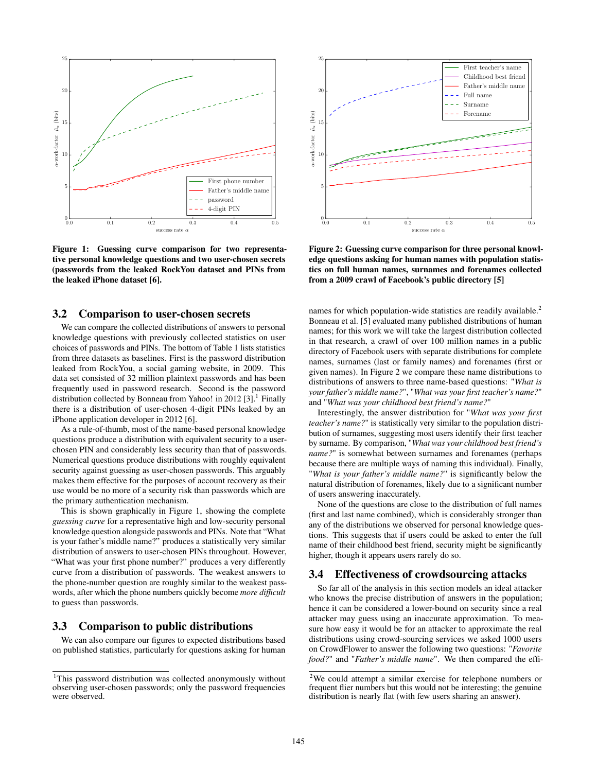

<span id="page-4-2"></span>Figure 1: Guessing curve comparison for two representative personal knowledge questions and two user-chosen secrets (passwords from the leaked RockYou dataset and PINs from the leaked iPhone dataset [\[6\]](#page-9-18).

## <span id="page-4-5"></span>3.2 Comparison to user-chosen secrets

We can compare the collected distributions of answers to personal knowledge questions with previously collected statistics on user choices of passwords and PINs. The bottom of Table [1](#page-3-0) lists statistics from three datasets as baselines. First is the password distribution leaked from RockYou, a social gaming website, in 2009. This data set consisted of 32 million plaintext passwords and has been frequently used in password research. Second is the password distribution collected by Bonneau from Yahoo! in 2012 [\[3\]](#page-9-14).<sup>[1](#page-4-1)</sup> Finally there is a distribution of user-chosen 4-digit PINs leaked by an iPhone application developer in 2012 [\[6\]](#page-9-18).

As a rule-of-thumb, most of the name-based personal knowledge questions produce a distribution with equivalent security to a userchosen PIN and considerably less security than that of passwords. Numerical questions produce distributions with roughly equivalent security against guessing as user-chosen passwords. This arguably makes them effective for the purposes of account recovery as their use would be no more of a security risk than passwords which are the primary authentication mechanism.

This is shown graphically in Figure [1,](#page-4-2) showing the complete *guessing curve* for a representative high and low-security personal knowledge question alongside passwords and PINs. Note that "What is your father's middle name?" produces a statistically very similar distribution of answers to user-chosen PINs throughout. However, "What was your first phone number?" produces a very differently curve from a distribution of passwords. The weakest answers to the phone-number question are roughly similar to the weakest passwords, after which the phone numbers quickly become *more difficult* to guess than passwords.

## 3.3 Comparison to public distributions

We can also compare our figures to expected distributions based on published statistics, particularly for questions asking for human



<span id="page-4-4"></span>Figure 2: Guessing curve comparison for three personal knowledge questions asking for human names with population statistics on full human names, surnames and forenames collected from a 2009 crawl of Facebook's public directory [\[5\]](#page-9-6)

names for which population-wide statistics are readily available.<sup>[2](#page-4-3)</sup> Bonneau et al. [\[5\]](#page-9-6) evaluated many published distributions of human names; for this work we will take the largest distribution collected in that research, a crawl of over 100 million names in a public directory of Facebook users with separate distributions for complete names, surnames (last or family names) and forenames (first or given names). In Figure [2](#page-4-4) we compare these name distributions to distributions of answers to three name-based questions: "*What is your father's middle name?*", "*What was your first teacher's name?*" and "*What was your childhood best friend's name?*"

Interestingly, the answer distribution for "*What was your first teacher's name?*" is statistically very similar to the population distribution of surnames, suggesting most users identify their first teacher by surname. By comparison, "*What was your childhood best friend's name?*" is somewhat between surnames and forenames (perhaps because there are multiple ways of naming this individual). Finally, "*What is your father's middle name?*" is significantly below the natural distribution of forenames, likely due to a significant number of users answering inaccurately.

None of the questions are close to the distribution of full names (first and last name combined), which is considerably stronger than any of the distributions we observed for personal knowledge questions. This suggests that if users could be asked to enter the full name of their childhood best friend, security might be significantly higher, though it appears users rarely do so.

## <span id="page-4-0"></span>3.4 Effectiveness of crowdsourcing attacks

So far all of the analysis in this section models an ideal attacker who knows the precise distribution of answers in the population; hence it can be considered a lower-bound on security since a real attacker may guess using an inaccurate approximation. To measure how easy it would be for an attacker to approximate the real distributions using crowd-sourcing services we asked 1000 users on CrowdFlower to answer the following two questions: "*Favorite food?*" and "*Father's middle name*". We then compared the effi-

<span id="page-4-1"></span><sup>&</sup>lt;sup>1</sup>This password distribution was collected anonymously without observing user-chosen passwords; only the password frequencies were observed.

<span id="page-4-3"></span><sup>2</sup>We could attempt a similar exercise for telephone numbers or frequent flier numbers but this would not be interesting; the genuine distribution is nearly flat (with few users sharing an answer).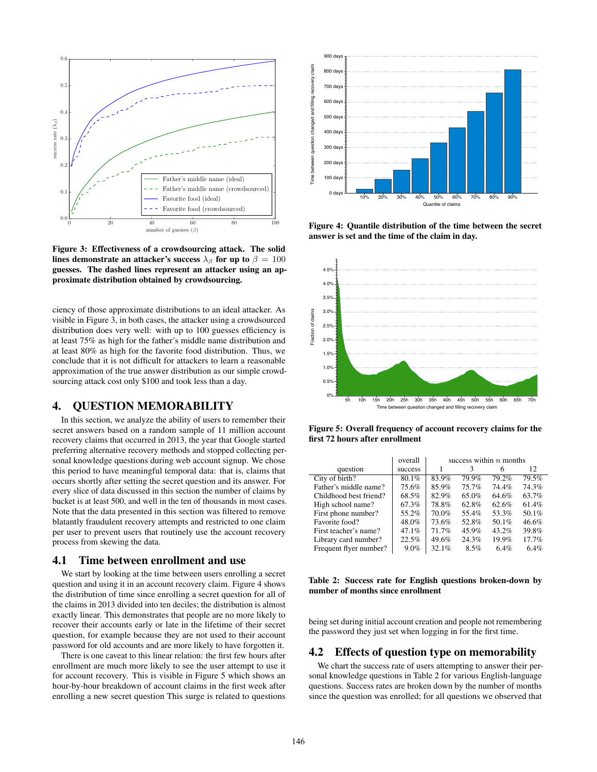

<span id="page-5-2"></span>Figure 3: Effectiveness of a crowdsourcing attack. The solid lines demonstrate an attacker's success  $\lambda_\beta$  for up to  $\beta = 100$ guesses. The dashed lines represent an attacker using an approximate distribution obtained by crowdsourcing.

ciency of those approximate distributions to an ideal attacker. As visible in Figure [3,](#page-5-2) in both cases, the attacker using a crowdsourced distribution does very well: with up to 100 guesses efficiency is at least 75% as high for the father's middle name distribution and at least 80% as high for the favorite food distribution. Thus, we conclude that it is not difficult for attackers to learn a reasonable approximation of the true answer distribution as our simple crowdsourcing attack cost only \$100 and took less than a day.

## 4. QUESTION MEMORABILITY

In this section, we analyze the ability of users to remember their secret answers based on a random sample of 11 million account recovery claims that occurred in 2013, the year that Google started preferring alternative recovery methods and stopped collecting personal knowledge questions during web account signup. We chose this period to have meaningful temporal data: that is, claims that occurs shortly after setting the secret question and its answer. For every slice of data discussed in this section the number of claims by bucket is at least 500, and well in the ten of thousands in most cases. Note that the data presented in this section was filtered to remove blatantly fraudulent recovery attempts and restricted to one claim per user to prevent users that routinely use the account recovery process from skewing the data.

#### <span id="page-5-0"></span>4.1 Time between enrollment and use

We start by looking at the time between users enrolling a secret question and using it in an account recovery claim. Figure [4](#page-5-3) shows the distribution of time since enrolling a secret question for all of the claims in 2013 divided into ten deciles; the distribution is almost exactly linear. This demonstrates that people are no more likely to recover their accounts early or late in the lifetime of their secret question, for example because they are not used to their account password for old accounts and are more likely to have forgotten it.

There is one caveat to this linear relation: the first few hours after enrollment are much more likely to see the user attempt to use it for account recovery. This is visible in Figure [5](#page-5-4) which shows an hour-by-hour breakdown of account claims in the first week after enrolling a new secret question This surge is related to questions



<span id="page-5-3"></span>Figure 4: Quantile distribution of the time between the secret answer is set and the time of the claim in day.



<span id="page-5-4"></span>Figure 5: Overall frequency of account recovery claims for the first 72 hours after enrollment

|                        | success within $n$ months |       |       |       |       |  |
|------------------------|---------------------------|-------|-------|-------|-------|--|
| question               | success                   |       | 3     | 6     | 12    |  |
| City of birth?         | 80.1%                     | 83.9% | 79.9% | 79.2% | 79.5% |  |
| Father's middle name?  | 75.6%                     | 85.9% | 75.7% | 74.4% | 74.3% |  |
| Childhood best friend? | 68.5%                     | 82.9% | 65.0% | 64.6% | 63.7% |  |
| High school name?      | 67.3%                     | 78.8% | 62.8% | 62.6% | 61.4% |  |
| First phone number?    | 55.2%                     | 70.0% | 55.4% | 53.3% | 50.1% |  |
| Favorite food?         | 48.0%                     | 73.6% | 52.8% | 50.1% | 46.6% |  |
| First teacher's name?  | 47.1%                     | 71.7% | 45.9% | 43.2% | 39.8% |  |
| Library card number?   | 22.5%                     | 49.6% | 24.3% | 19.9% | 17.7% |  |
| Frequent flyer number? | $9.0\%$                   | 32.1% | 8.5%  | 64%   | 6.4%  |  |

<span id="page-5-5"></span>Table 2: Success rate for English questions broken-down by number of months since enrollment

being set during initial account creation and people not remembering the password they just set when logging in for the first time.

## <span id="page-5-1"></span>4.2 Effects of question type on memorability

We chart the success rate of users attempting to answer their personal knowledge questions in Table [2](#page-5-5) for various English-language questions. Success rates are broken down by the number of months since the question was enrolled; for all questions we observed that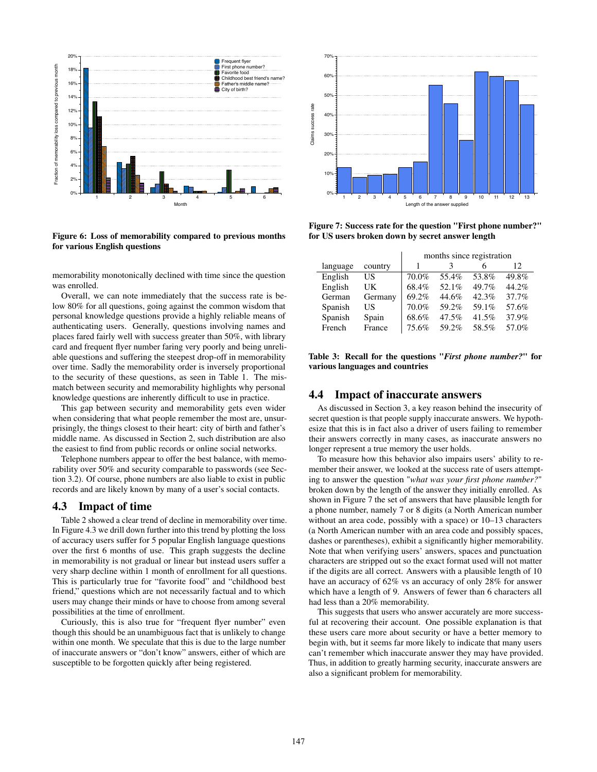

Figure 6: Loss of memorability compared to previous months for various English questions

memorability monotonically declined with time since the question was enrolled.

Overall, we can note immediately that the success rate is below 80% for all questions, going against the common wisdom that personal knowledge questions provide a highly reliable means of authenticating users. Generally, questions involving names and places fared fairly well with success greater than 50%, with library card and frequent flyer number faring very poorly and being unreliable questions and suffering the steepest drop-off in memorability over time. Sadly the memorability order is inversely proportional to the security of these questions, as seen in Table [1.](#page-3-0) The mismatch between security and memorability highlights why personal knowledge questions are inherently difficult to use in practice.

This gap between security and memorability gets even wider when considering that what people remember the most are, unsurprisingly, the things closest to their heart: city of birth and father's middle name. As discussed in Section [2,](#page-1-1) such distribution are also the easiest to find from public records or online social networks.

Telephone numbers appear to offer the best balance, with memorability over 50% and security comparable to passwords (see Section [3.2\)](#page-4-5). Of course, phone numbers are also liable to exist in public records and are likely known by many of a user's social contacts.

#### <span id="page-6-0"></span>4.3 Impact of time

Table [2](#page-5-5) showed a clear trend of decline in memorability over time. In Figure [4.3](#page-6-0) we drill down further into this trend by plotting the loss of accuracy users suffer for 5 popular English language questions over the first 6 months of use. This graph suggests the decline in memorability is not gradual or linear but instead users suffer a very sharp decline within 1 month of enrollment for all questions. This is particularly true for "favorite food" and "childhood best friend," questions which are not necessarily factual and to which users may change their minds or have to choose from among several possibilities at the time of enrollment.

Curiously, this is also true for "frequent flyer number" even though this should be an unambiguous fact that is unlikely to change within one month. We speculate that this is due to the large number of inaccurate answers or "don't know" answers, either of which are susceptible to be forgotten quickly after being registered.



<span id="page-6-2"></span>Figure 7: Success rate for the question "First phone number?" for US users broken down by secret answer length

|          |         | months since registration |       |       |       |  |  |
|----------|---------|---------------------------|-------|-------|-------|--|--|
| language | country |                           |       |       | 12    |  |  |
| English  | US      | 70.0%                     | 55.4% | 53.8% | 49.8% |  |  |
| English  | UK      | 68.4%                     | 52.1% | 49.7% | 44.2% |  |  |
| German   | Germany | 69.2%                     | 44.6% | 42.3% | 37.7% |  |  |
| Spanish  | US      | 70.0%                     | 59.2% | 59.1% | 57.6% |  |  |
| Spanish  | Spain   | 68.6%                     | 47.5% | 41.5% | 37.9% |  |  |
| French   | France  | 75.6%                     | 59.2% | 58.5% | 57.0% |  |  |

<span id="page-6-3"></span>Table 3: Recall for the questions "*First phone number?*" for various languages and countries

#### <span id="page-6-1"></span>4.4 Impact of inaccurate answers

As discussed in Section [3,](#page-2-1) a key reason behind the insecurity of secret question is that people supply inaccurate answers. We hypothesize that this is in fact also a driver of users failing to remember their answers correctly in many cases, as inaccurate answers no longer represent a true memory the user holds.

To measure how this behavior also impairs users' ability to remember their answer, we looked at the success rate of users attempting to answer the question "*what was your first phone number?*" broken down by the length of the answer they initially enrolled. As shown in Figure [7](#page-6-2) the set of answers that have plausible length for a phone number, namely 7 or 8 digits (a North American number without an area code, possibly with a space) or 10–13 characters (a North American number with an area code and possibly spaces, dashes or parentheses), exhibit a significantly higher memorability. Note that when verifying users' answers, spaces and punctuation characters are stripped out so the exact format used will not matter if the digits are all correct. Answers with a plausible length of 10 have an accuracy of 62% vs an accuracy of only 28% for answer which have a length of 9. Answers of fewer than 6 characters all had less than a 20% memorability.

This suggests that users who answer accurately are more successful at recovering their account. One possible explanation is that these users care more about security or have a better memory to begin with, but it seems far more likely to indicate that many users can't remember which inaccurate answer they may have provided. Thus, in addition to greatly harming security, inaccurate answers are also a significant problem for memorability.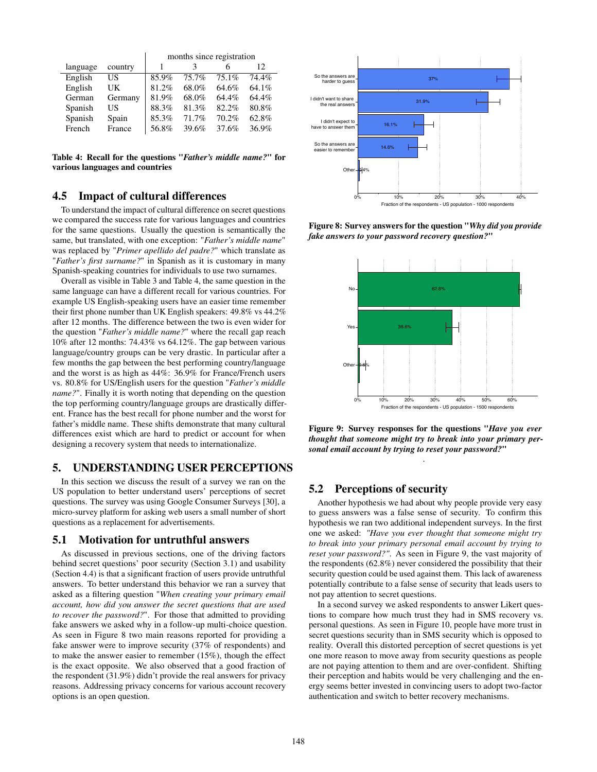|          |         | months since registration |       |       |       |  |  |
|----------|---------|---------------------------|-------|-------|-------|--|--|
| language | country |                           |       |       | 12    |  |  |
| English  | US      | 85.9%                     | 75.7% | 75.1% | 74.4% |  |  |
| English  | UK      | 81.2%                     | 68.0% | 64.6% | 64.1% |  |  |
| German   | Germany | 81.9%                     | 68.0% | 64.4% | 64.4% |  |  |
| Spanish  | US      | 88.3%                     | 81.3% | 82.2% | 80.8% |  |  |
| Spanish  | Spain   | 85.3%                     | 71.7% | 70.2% | 62.8% |  |  |
| French   | France  | 56.8%                     | 39.6% | 37.6% | 36.9% |  |  |

<span id="page-7-2"></span>Table 4: Recall for the questions "*Father's middle name?*" for various languages and countries

## <span id="page-7-0"></span>4.5 Impact of cultural differences

To understand the impact of cultural difference on secret questions we compared the success rate for various languages and countries for the same questions. Usually the question is semantically the same, but translated, with one exception: "*Father's middle name*" was replaced by "*Primer apellido del padre?*" which translate as "*Father's first surname?*" in Spanish as it is customary in many Spanish-speaking countries for individuals to use two surnames.

Overall as visible in Table [3](#page-6-3) and Table [4,](#page-7-2) the same question in the same language can have a different recall for various countries. For example US English-speaking users have an easier time remember their first phone number than UK English speakers: 49.8% vs 44.2% after 12 months. The difference between the two is even wider for the question "*Father's middle name?*" where the recall gap reach 10% after 12 months: 74.43% vs 64.12%. The gap between various language/country groups can be very drastic. In particular after a few months the gap between the best performing country/language and the worst is as high as 44%: 36.9% for France/French users vs. 80.8% for US/English users for the question "*Father's middle name?*". Finally it is worth noting that depending on the question the top performing country/language groups are drastically different. France has the best recall for phone number and the worst for father's middle name. These shifts demonstrate that many cultural differences exist which are hard to predict or account for when designing a recovery system that needs to internationalize.

## <span id="page-7-1"></span>5. UNDERSTANDING USER PERCEPTIONS

In this section we discuss the result of a survey we ran on the US population to better understand users' perceptions of secret questions. The survey was using Google Consumer Surveys [\[30\]](#page-9-19), a micro-survey platform for asking web users a small number of short questions as a replacement for advertisements.

## 5.1 Motivation for untruthful answers

As discussed in previous sections, one of the driving factors behind secret questions' poor security (Section [3.1\)](#page-2-0) and usability (Section [4.4\)](#page-6-1) is that a significant fraction of users provide untruthful answers. To better understand this behavior we ran a survey that asked as a filtering question "*When creating your primary email account, how did you answer the secret questions that are used to recover the password?*". For those that admitted to providing fake answers we asked why in a follow-up multi-choice question. As seen in Figure [8](#page-7-3) two main reasons reported for providing a fake answer were to improve security (37% of respondents) and to make the answer easier to remember (15%), though the effect is the exact opposite. We also observed that a good fraction of the respondent (31.9%) didn't provide the real answers for privacy reasons. Addressing privacy concerns for various account recovery options is an open question.



Figure 8: Survey answers for the question "*Why did you provide fake answers to your password recovery question?*"

<span id="page-7-3"></span>

<span id="page-7-4"></span>Figure 9: Survey responses for the questions "*Have you ever thought that someone might try to break into your primary personal email account by trying to reset your password?*"

.

## 5.2 Perceptions of security

Another hypothesis we had about why people provide very easy to guess answers was a false sense of security. To confirm this hypothesis we ran two additional independent surveys. In the first one we asked: *"Have you ever thought that someone might try to break into your primary personal email account by trying to reset your password?"*. As seen in Figure [9,](#page-7-4) the vast majority of the respondents (62.8%) never considered the possibility that their security question could be used against them. This lack of awareness potentially contribute to a false sense of security that leads users to not pay attention to secret questions.

In a second survey we asked respondents to answer Likert questions to compare how much trust they had in SMS recovery vs. personal questions. As seen in Figure [10,](#page-8-1) people have more trust in secret questions security than in SMS security which is opposed to reality. Overall this distorted perception of secret questions is yet one more reason to move away from security questions as people are not paying attention to them and are over-confident. Shifting their perception and habits would be very challenging and the energy seems better invested in convincing users to adopt two-factor authentication and switch to better recovery mechanisms.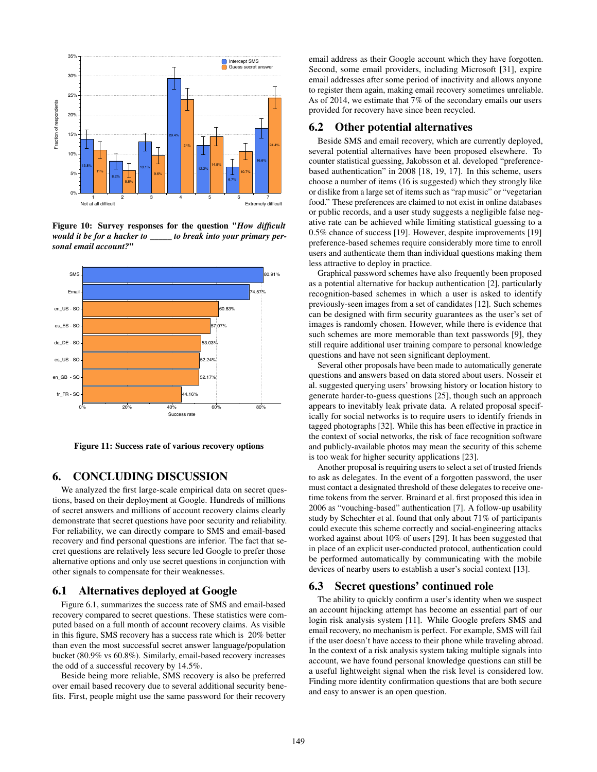

<span id="page-8-1"></span>Figure 10: Survey responses for the question "*How difficult would it be for a hacker to \_\_\_\_\_ to break into your primary personal email account?*"



Figure 11: Success rate of various recovery options

# <span id="page-8-0"></span>6. CONCLUDING DISCUSSION

We analyzed the first large-scale empirical data on secret questions, based on their deployment at Google. Hundreds of millions of secret answers and millions of account recovery claims clearly demonstrate that secret questions have poor security and reliability. For reliability, we can directly compare to SMS and email-based recovery and find personal questions are inferior. The fact that secret questions are relatively less secure led Google to prefer those alternative options and only use secret questions in conjunction with other signals to compensate for their weaknesses.

#### <span id="page-8-2"></span>6.1 Alternatives deployed at Google

Figure [6.1,](#page-8-2) summarizes the success rate of SMS and email-based recovery compared to secret questions. These statistics were computed based on a full month of account recovery claims. As visible in this figure, SMS recovery has a success rate which is 20% better than even the most successful secret answer language/population bucket (80.9% vs 60.8%). Similarly, email-based recovery increases the odd of a successful recovery by 14.5%.

Beside being more reliable, SMS recovery is also be preferred over email based recovery due to several additional security benefits. First, people might use the same password for their recovery email address as their Google account which they have forgotten. Second, some email providers, including Microsoft [\[31\]](#page-9-20), expire email addresses after some period of inactivity and allows anyone to register them again, making email recovery sometimes unreliable. As of 2014, we estimate that 7% of the secondary emails our users provided for recovery have since been recycled.

#### 6.2 Other potential alternatives

Beside SMS and email recovery, which are currently deployed, several potential alternatives have been proposed elsewhere. To counter statistical guessing, Jakobsson et al. developed "preferencebased authentication" in 2008 [\[18,](#page-9-21) [19,](#page-9-22) [17\]](#page-9-23). In this scheme, users choose a number of items (16 is suggested) which they strongly like or dislike from a large set of items such as "rap music" or "vegetarian food." These preferences are claimed to not exist in online databases or public records, and a user study suggests a negligible false negative rate can be achieved while limiting statistical guessing to a 0.5% chance of success [\[19\]](#page-9-22). However, despite improvements [\[19\]](#page-9-22) preference-based schemes require considerably more time to enroll users and authenticate them than individual questions making them less attractive to deploy in practice.

Graphical password schemes have also frequently been proposed as a potential alternative for backup authentication [\[2\]](#page-9-24), particularly recognition-based schemes in which a user is asked to identify previously-seen images from a set of candidates [\[12\]](#page-9-25). Such schemes can be designed with firm security guarantees as the user's set of images is randomly chosen. However, while there is evidence that such schemes are more memorable than text passwords [\[9\]](#page-9-26), they still require additional user training compare to personal knowledge questions and have not seen significant deployment.

Several other proposals have been made to automatically generate questions and answers based on data stored about users. Nosseir et al. suggested querying users' browsing history or location history to generate harder-to-guess questions [\[25\]](#page-9-27), though such an approach appears to inevitably leak private data. A related proposal specifically for social networks is to require users to identify friends in tagged photographs [\[32\]](#page-9-28). While this has been effective in practice in the context of social networks, the risk of face recognition software and publicly-available photos may mean the security of this scheme is too weak for higher security applications [\[23\]](#page-9-29).

Another proposal is requiring users to select a set of trusted friends to ask as delegates. In the event of a forgotten password, the user must contact a designated threshold of these delegates to receive onetime tokens from the server. Brainard et al. first proposed this idea in 2006 as "vouching-based" authentication [\[7\]](#page-9-30). A follow-up usability study by Schechter et al. found that only about 71% of participants could execute this scheme correctly and social-engineering attacks worked against about 10% of users [\[29\]](#page-9-31). It has been suggested that in place of an explicit user-conducted protocol, authentication could be performed automatically by communicating with the mobile devices of nearby users to establish a user's social context [\[13\]](#page-9-32).

## 6.3 Secret questions' continued role

The ability to quickly confirm a user's identity when we suspect an account hijacking attempt has become an essential part of our login risk analysis system [\[11\]](#page-9-13). While Google prefers SMS and email recovery, no mechanism is perfect. For example, SMS will fail if the user doesn't have access to their phone while traveling abroad. In the context of a risk analysis system taking multiple signals into account, we have found personal knowledge questions can still be a useful lightweight signal when the risk level is considered low. Finding more identity confirmation questions that are both secure and easy to answer is an open question.